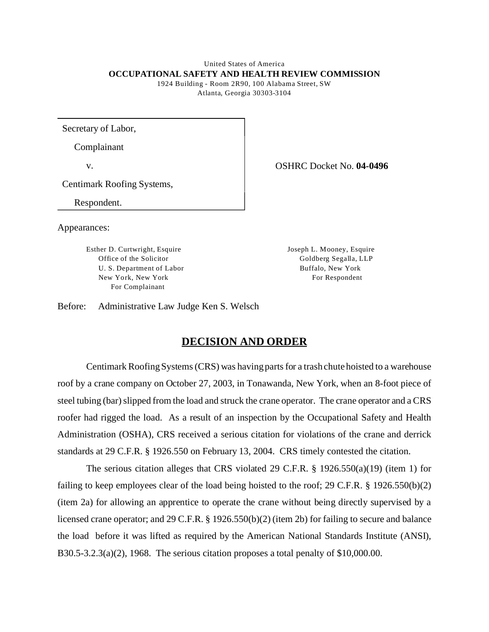### United States of America **OCCUPATIONAL SAFETY AND HEALTH REVIEW COMMISSION**

1924 Building - Room 2R90, 100 Alabama Street, SW Atlanta, Georgia 30303-3104

Secretary of Labor,

Complainant

Centimark Roofing Systems,

Respondent.

Appearances:

Esther D. Curtwright, Esquire Joseph L. M ooney, Esquire Office of the Solicitor Goldberg Segalla, LLP U. S. Department of Labor Buffalo, New York New York, New York For Respondent For Complainant

v. OSHRC Docket No. **04-0496** 

Before: Administrative Law Judge Ken S. Welsch

# **DECISION AND ORDER**

Centimark Roofing Systems (CRS) was having parts for a trash chute hoisted to a warehouse roof by a crane company on October 27, 2003, in Tonawanda, New York, when an 8-foot piece of steel tubing (bar) slipped from the load and struck the crane operator. The crane operator and a CRS roofer had rigged the load. As a result of an inspection by the Occupational Safety and Health Administration (OSHA), CRS received a serious citation for violations of the crane and derrick standards at 29 C.F.R. § 1926.550 on February 13, 2004. CRS timely contested the citation.

The serious citation alleges that CRS violated 29 C.F.R. § 1926.550(a)(19) (item 1) for failing to keep employees clear of the load being hoisted to the roof; 29 C.F.R. § 1926.550(b)(2) (item 2a) for allowing an apprentice to operate the crane without being directly supervised by a licensed crane operator; and 29 C.F.R. § 1926.550(b)(2) (item 2b) for failing to secure and balance the load before it was lifted as required by the American National Standards Institute (ANSI), B30.5-3.2.3(a)(2), 1968. The serious citation proposes a total penalty of  $$10,000.00$ .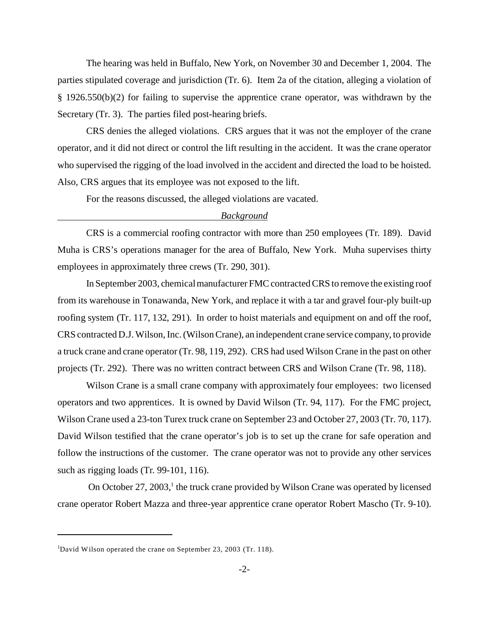The hearing was held in Buffalo, New York, on November 30 and December 1, 2004. The parties stipulated coverage and jurisdiction (Tr. 6). Item 2a of the citation, alleging a violation of § 1926.550(b)(2) for failing to supervise the apprentice crane operator, was withdrawn by the Secretary (Tr. 3). The parties filed post-hearing briefs.

CRS denies the alleged violations. CRS argues that it was not the employer of the crane operator, and it did not direct or control the lift resulting in the accident. It was the crane operator who supervised the rigging of the load involved in the accident and directed the load to be hoisted. Also, CRS argues that its employee was not exposed to the lift.

For the reasons discussed, the alleged violations are vacated.

### *Background*

CRS is a commercial roofing contractor with more than 250 employees (Tr. 189). David Muha is CRS's operations manager for the area of Buffalo, New York. Muha supervises thirty employees in approximately three crews (Tr. 290, 301).

In September 2003, chemical manufacturer FMC contracted CRS to remove the existing roof from its warehouse in Tonawanda, New York, and replace it with a tar and gravel four-ply built-up roofing system (Tr. 117, 132, 291). In order to hoist materials and equipment on and off the roof, CRS contracted D.J. Wilson, Inc. (Wilson Crane), an independent crane service company, to provide a truck crane and crane operator (Tr. 98, 119, 292). CRS had used Wilson Crane in the past on other projects (Tr. 292). There was no written contract between CRS and Wilson Crane (Tr. 98, 118).

Wilson Crane is a small crane company with approximately four employees: two licensed operators and two apprentices. It is owned by David Wilson (Tr. 94, 117). For the FMC project, Wilson Crane used a 23-ton Turex truck crane on September 23 and October 27, 2003 (Tr. 70, 117). David Wilson testified that the crane operator's job is to set up the crane for safe operation and follow the instructions of the customer. The crane operator was not to provide any other services such as rigging loads (Tr. 99-101, 116).

On October 27, 2003,<sup>1</sup> the truck crane provided by Wilson Crane was operated by licensed crane operator Robert Mazza and three-year apprentice crane operator Robert Mascho (Tr. 9-10).

<sup>&</sup>lt;sup>1</sup>David Wilson operated the crane on September 23, 2003 (Tr. 118).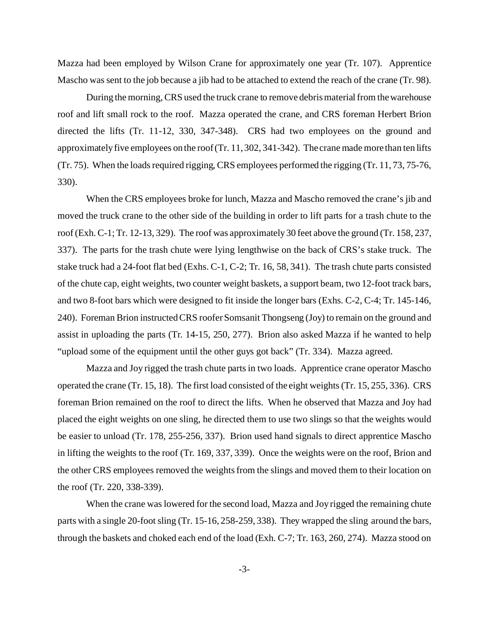Mazza had been employed by Wilson Crane for approximately one year (Tr. 107). Apprentice Mascho was sent to the job because a jib had to be attached to extend the reach of the crane (Tr. 98).

During the morning, CRS used the truck crane to remove debris material from the warehouse roof and lift small rock to the roof. Mazza operated the crane, and CRS foreman Herbert Brion directed the lifts (Tr. 11-12, 330, 347-348). CRS had two employees on the ground and approximately five employees on the roof (Tr. 11, 302, 341-342). The crane made more than ten lifts (Tr. 75). When the loads required rigging, CRS employees performed the rigging (Tr. 11, 73, 75-76, 330).

When the CRS employees broke for lunch, Mazza and Mascho removed the crane's jib and moved the truck crane to the other side of the building in order to lift parts for a trash chute to the roof (Exh. C-1; Tr. 12-13, 329). The roof was approximately 30 feet above the ground (Tr. 158, 237, 337). The parts for the trash chute were lying lengthwise on the back of CRS's stake truck. The stake truck had a 24-foot flat bed (Exhs. C-1, C-2; Tr. 16, 58, 341). The trash chute parts consisted of the chute cap, eight weights, two counter weight baskets, a support beam, two 12-foot track bars, and two 8-foot bars which were designed to fit inside the longer bars (Exhs. C-2, C-4; Tr. 145-146, 240). Foreman Brion instructed CRS roofer Somsanit Thongseng (Joy) to remain on the ground and assist in uploading the parts (Tr. 14-15, 250, 277). Brion also asked Mazza if he wanted to help "upload some of the equipment until the other guys got back" (Tr. 334). Mazza agreed.

Mazza and Joy rigged the trash chute parts in two loads. Apprentice crane operator Mascho operated the crane (Tr. 15, 18). The first load consisted of the eight weights (Tr. 15, 255, 336). CRS foreman Brion remained on the roof to direct the lifts. When he observed that Mazza and Joy had placed the eight weights on one sling, he directed them to use two slings so that the weights would be easier to unload (Tr. 178, 255-256, 337). Brion used hand signals to direct apprentice Mascho in lifting the weights to the roof (Tr. 169, 337, 339). Once the weights were on the roof, Brion and the other CRS employees removed the weights from the slings and moved them to their location on the roof (Tr. 220, 338-339).

When the crane was lowered for the second load, Mazza and Joy rigged the remaining chute parts with a single 20-foot sling (Tr. 15-16, 258-259, 338). They wrapped the sling around the bars, through the baskets and choked each end of the load (Exh. C-7; Tr. 163, 260, 274). Mazza stood on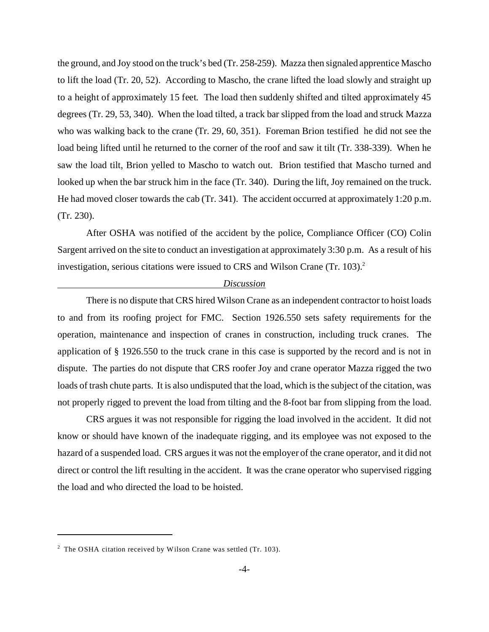the ground, and Joy stood on the truck's bed (Tr. 258-259). Mazza then signaled apprentice Mascho to lift the load (Tr. 20, 52). According to Mascho, the crane lifted the load slowly and straight up to a height of approximately 15 feet. The load then suddenly shifted and tilted approximately 45 degrees (Tr. 29, 53, 340). When the load tilted, a track bar slipped from the load and struck Mazza who was walking back to the crane (Tr. 29, 60, 351). Foreman Brion testified he did not see the load being lifted until he returned to the corner of the roof and saw it tilt (Tr. 338-339). When he saw the load tilt, Brion yelled to Mascho to watch out. Brion testified that Mascho turned and looked up when the bar struck him in the face (Tr. 340). During the lift, Joy remained on the truck. He had moved closer towards the cab (Tr. 341). The accident occurred at approximately 1:20 p.m. (Tr. 230).

After OSHA was notified of the accident by the police, Compliance Officer (CO) Colin Sargent arrived on the site to conduct an investigation at approximately 3:30 p.m. As a result of his investigation, serious citations were issued to CRS and Wilson Crane (Tr. 103).<sup>2</sup>

#### *Discussion*

There is no dispute that CRS hired Wilson Crane as an independent contractor to hoist loads to and from its roofing project for FMC. Section 1926.550 sets safety requirements for the operation, maintenance and inspection of cranes in construction, including truck cranes. The application of § 1926.550 to the truck crane in this case is supported by the record and is not in dispute. The parties do not dispute that CRS roofer Joy and crane operator Mazza rigged the two loads of trash chute parts. It is also undisputed that the load, which is the subject of the citation, was not properly rigged to prevent the load from tilting and the 8-foot bar from slipping from the load.

CRS argues it was not responsible for rigging the load involved in the accident. It did not know or should have known of the inadequate rigging, and its employee was not exposed to the hazard of a suspended load. CRS argues it was not the employer of the crane operator, and it did not direct or control the lift resulting in the accident. It was the crane operator who supervised rigging the load and who directed the load to be hoisted.

<sup>&</sup>lt;sup>2</sup> The OSHA citation received by Wilson Crane was settled (Tr. 103).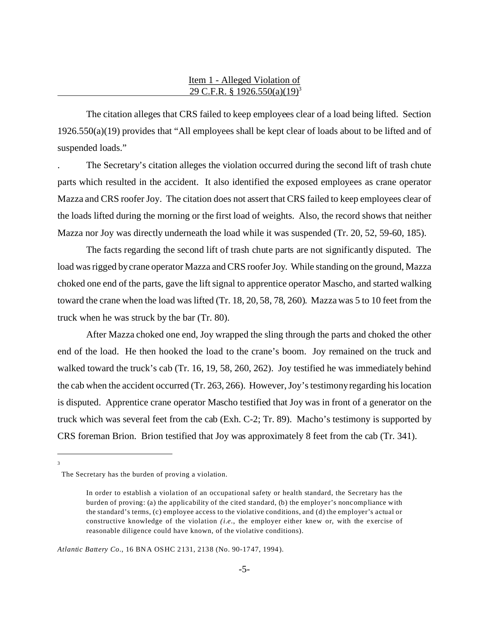### Item 1 - Alleged Violation of 29 C.F.R. § 1926.550(a)(19)3

The citation alleges that CRS failed to keep employees clear of a load being lifted. Section 1926.550(a)(19) provides that "All employees shall be kept clear of loads about to be lifted and of suspended loads."

. The Secretary's citation alleges the violation occurred during the second lift of trash chute parts which resulted in the accident. It also identified the exposed employees as crane operator Mazza and CRS roofer Joy. The citation does not assert that CRS failed to keep employees clear of the loads lifted during the morning or the first load of weights. Also, the record shows that neither Mazza nor Joy was directly underneath the load while it was suspended (Tr. 20, 52, 59-60, 185).

The facts regarding the second lift of trash chute parts are not significantly disputed. The load was rigged by crane operator Mazza and CRS roofer Joy. While standing on the ground, Mazza choked one end of the parts, gave the lift signal to apprentice operator Mascho, and started walking toward the crane when the load was lifted (Tr. 18, 20, 58, 78, 260). Mazza was 5 to 10 feet from the truck when he was struck by the bar (Tr. 80).

After Mazza choked one end, Joy wrapped the sling through the parts and choked the other end of the load. He then hooked the load to the crane's boom. Joy remained on the truck and walked toward the truck's cab (Tr. 16, 19, 58, 260, 262). Joy testified he was immediately behind the cab when the accident occurred (Tr. 263, 266). However, Joy's testimony regarding his location is disputed. Apprentice crane operator Mascho testified that Joy was in front of a generator on the truck which was several feet from the cab (Exh. C-2; Tr. 89). Macho's testimony is supported by CRS foreman Brion. Brion testified that Joy was approximately 8 feet from the cab (Tr. 341).

3

Atlantic Battery Co., 16 BNA OSHC 2131, 2138 (No. 90-1747, 1994).

The Secretary has the burden of proving a violation.

In order to establish a violation of an occupational safety or health standard, the Secretary has the burden of proving: (a) the applicability of the cited standard, (b) the employer's noncompliance with the standard's terms, (c) employee access to the violative conditions, and (d) the employer's actual or constructive knowledge of the violation *(i.e.*, the employer either knew or, with the exercise of reasonable diligence could have known, of the violative conditions).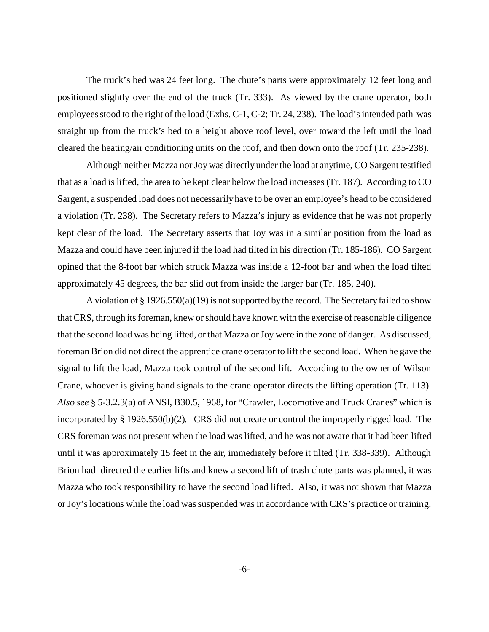The truck's bed was 24 feet long. The chute's parts were approximately 12 feet long and positioned slightly over the end of the truck (Tr. 333). As viewed by the crane operator, both employees stood to the right of the load (Exhs. C-1, C-2; Tr. 24, 238). The load's intended path was straight up from the truck's bed to a height above roof level, over toward the left until the load cleared the heating/air conditioning units on the roof, and then down onto the roof (Tr. 235-238).

Although neither Mazza nor Joy was directly under the load at anytime, CO Sargent testified that as a load is lifted, the area to be kept clear below the load increases (Tr. 187). According to CO Sargent, a suspended load does not necessarily have to be over an employee's head to be considered a violation (Tr. 238). The Secretary refers to Mazza's injury as evidence that he was not properly kept clear of the load. The Secretary asserts that Joy was in a similar position from the load as Mazza and could have been injured if the load had tilted in his direction (Tr. 185-186). CO Sargent opined that the 8-foot bar which struck Mazza was inside a 12-foot bar and when the load tilted approximately 45 degrees, the bar slid out from inside the larger bar (Tr. 185, 240).

A violation of § 1926.550(a)(19) is not supported by the record. The Secretary failed to show that CRS, through its foreman, knew or should have known with the exercise of reasonable diligence that the second load was being lifted, or that Mazza or Joy were in the zone of danger. As discussed, foreman Brion did not direct the apprentice crane operator to lift the second load. When he gave the signal to lift the load, Mazza took control of the second lift. According to the owner of Wilson Crane, whoever is giving hand signals to the crane operator directs the lifting operation (Tr. 113). *Also see* § 5-3.2.3(a) of ANSI, B30.5, 1968, for "Crawler, Locomotive and Truck Cranes" which is incorporated by § 1926.550(b)(2). CRS did not create or control the improperly rigged load. The CRS foreman was not present when the load was lifted, and he was not aware that it had been lifted until it was approximately 15 feet in the air, immediately before it tilted (Tr. 338-339). Although Brion had directed the earlier lifts and knew a second lift of trash chute parts was planned, it was Mazza who took responsibility to have the second load lifted. Also, it was not shown that Mazza or Joy's locations while the load was suspended was in accordance with CRS's practice or training.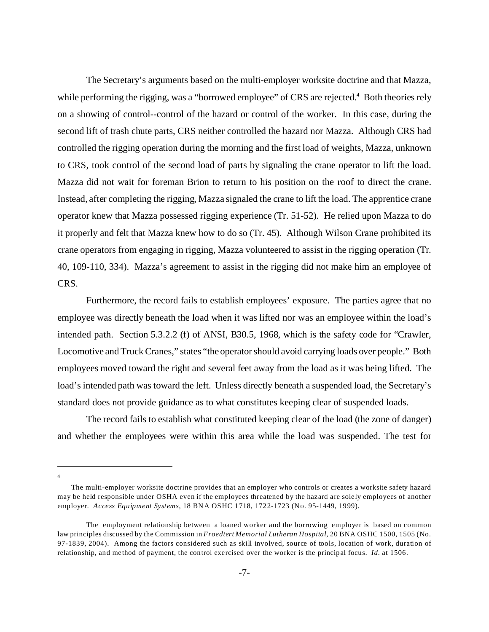The Secretary's arguments based on the multi-employer worksite doctrine and that Mazza, while performing the rigging, was a "borrowed employee" of CRS are rejected.<sup>4</sup> Both theories rely on a showing of control--control of the hazard or control of the worker. In this case, during the second lift of trash chute parts, CRS neither controlled the hazard nor Mazza. Although CRS had controlled the rigging operation during the morning and the first load of weights, Mazza, unknown to CRS, took control of the second load of parts by signaling the crane operator to lift the load. Mazza did not wait for foreman Brion to return to his position on the roof to direct the crane. Instead, after completing the rigging, Mazza signaled the crane to lift the load. The apprentice crane operator knew that Mazza possessed rigging experience (Tr. 51-52). He relied upon Mazza to do it properly and felt that Mazza knew how to do so (Tr. 45). Although Wilson Crane prohibited its crane operators from engaging in rigging, Mazza volunteered to assist in the rigging operation (Tr. 40, 109-110, 334). Mazza's agreement to assist in the rigging did not make him an employee of CRS.

Furthermore, the record fails to establish employees' exposure. The parties agree that no employee was directly beneath the load when it was lifted nor was an employee within the load's intended path. Section 5.3.2.2 (f) of ANSI, B30.5, 1968, which is the safety code for "Crawler, Locomotive and Truck Cranes," states "the operator should avoid carrying loads over people." Both employees moved toward the right and several feet away from the load as it was being lifted. The load's intended path was toward the left. Unless directly beneath a suspended load, the Secretary's standard does not provide guidance as to what constitutes keeping clear of suspended loads.

The record fails to establish what constituted keeping clear of the load (the zone of danger) and whether the employees were within this area while the load was suspended. The test for

4

The multi-employer worksite doctrine provides that an employer who controls or creates a worksite safety hazard may be held responsible under OSHA even if the employees threatened by the hazard are solely employees of another emp loyer. *Access Equipment Systems*, 18 BNA OSHC 1718, 1722-1723 (No. 95-1449, 1999).

The employment relationship between a loaned worker and the borrowing employer is based on common law principles discussed by the Commission in *Froedtert Memorial Lutheran Hospital*, 20 BNA OSHC 1500, 1505 (No. 97-1839, 2004). Among the factors considered such as skill involved, source of tools, location of work, duration of relation ship, and method of payment, the control exercised over the worker is the principal focus. *Id.* at 1506.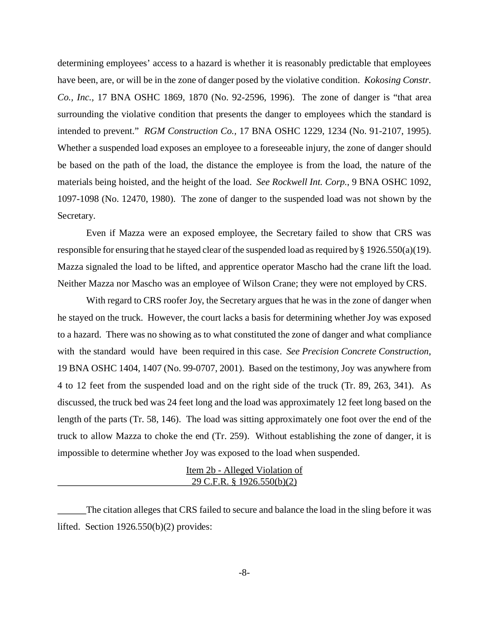determining employees' access to a hazard is whether it is reasonably predictable that employees have been, are, or will be in the zone of danger posed by the violative condition. *Kokosing Constr. Co., Inc.,* 17 BNA OSHC 1869, 1870 (No. 92-2596, 1996). The zone of danger is "that area surrounding the violative condition that presents the danger to employees which the standard is intended to prevent." *RGM Construction Co.,* 17 BNA OSHC 1229, 1234 (No. 91-2107, 1995). Whether a suspended load exposes an employee to a foreseeable injury, the zone of danger should be based on the path of the load, the distance the employee is from the load, the nature of the materials being hoisted, and the height of the load. *See Rockwell Int. Corp.*, 9 BNA OSHC 1092, 1097-1098 (No. 12470, 1980). The zone of danger to the suspended load was not shown by the Secretary.

Even if Mazza were an exposed employee, the Secretary failed to show that CRS was responsible for ensuring that he stayed clear of the suspended load as required by § 1926.550(a)(19). Mazza signaled the load to be lifted, and apprentice operator Mascho had the crane lift the load. Neither Mazza nor Mascho was an employee of Wilson Crane; they were not employed by CRS.

With regard to CRS roofer Joy, the Secretary argues that he was in the zone of danger when he stayed on the truck. However, the court lacks a basis for determining whether Joy was exposed to a hazard. There was no showing as to what constituted the zone of danger and what compliance with the standard would have been required in this case. *See Precision Concrete Construction*, 19 BNA OSHC 1404, 1407 (No. 99-0707, 2001). Based on the testimony, Joy was anywhere from 4 to 12 feet from the suspended load and on the right side of the truck (Tr. 89, 263, 341). As discussed, the truck bed was 24 feet long and the load was approximately 12 feet long based on the length of the parts (Tr. 58, 146). The load was sitting approximately one foot over the end of the truck to allow Mazza to choke the end (Tr. 259). Without establishing the zone of danger, it is impossible to determine whether Joy was exposed to the load when suspended.

> Item 2b - Alleged Violation of 29 C.F.R. § 1926.550(b)(2)

The citation alleges that CRS failed to secure and balance the load in the sling before it was lifted. Section 1926.550(b)(2) provides: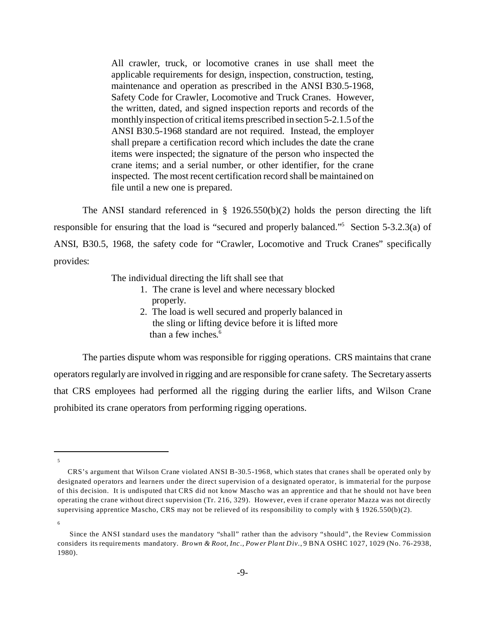All crawler, truck, or locomotive cranes in use shall meet the applicable requirements for design, inspection, construction, testing, maintenance and operation as prescribed in the ANSI B30.5-1968, Safety Code for Crawler, Locomotive and Truck Cranes. However, the written, dated, and signed inspection reports and records of the monthly inspection of critical items prescribed in section 5-2.1.5 of the ANSI B30.5-1968 standard are not required. Instead, the employer shall prepare a certification record which includes the date the crane items were inspected; the signature of the person who inspected the crane items; and a serial number, or other identifier, for the crane inspected. The most recent certification record shall be maintained on file until a new one is prepared.

The ANSI standard referenced in  $\S$  1926.550(b)(2) holds the person directing the lift responsible for ensuring that the load is "secured and properly balanced."5 Section 5-3.2.3(a) of ANSI, B30.5, 1968, the safety code for "Crawler, Locomotive and Truck Cranes" specifically provides:

The individual directing the lift shall see that

- 1. The crane is level and where necessary blocked properly.
- 2. The load is well secured and properly balanced in the sling or lifting device before it is lifted more than a few inches.<sup>6</sup>

The parties dispute whom was responsible for rigging operations. CRS maintains that crane operators regularly are involved in rigging and are responsible for crane safety. The Secretary asserts that CRS employees had performed all the rigging during the earlier lifts, and Wilson Crane prohibited its crane operators from performing rigging operations.

<sup>5</sup>

CRS's argument that Wilson Crane violated ANSI B-30.5-1968, which states that cranes shall be operated only by designated operators and learners under the direct supervision of a designated operator, is immaterial for the purpose of this decision. It is undisputed that CRS did not know Mascho was an apprentice and that he should not have been operating the crane without direct supervision (Tr. 216, 329). However, even if crane operator Mazza was not directly supervising apprentice Mascho, CRS may not be relieved of its responsibility to comply with § 1926.550(b)(2).

<sup>6</sup>

Since the ANSI standard uses the mandatory "shall" rather than the advisory "should", the Review Commission considers its requirements mandatory. *Brown & Root, Inc., Power Plant Div.*, 9 BNA OSHC 1027, 1029 (No. 76-2938, 1980).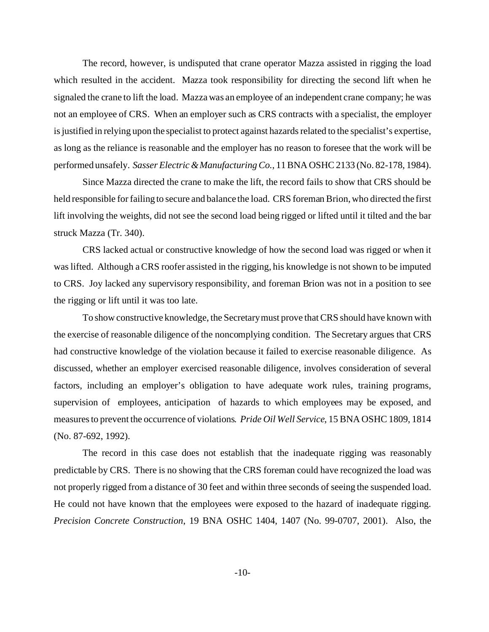The record, however, is undisputed that crane operator Mazza assisted in rigging the load which resulted in the accident. Mazza took responsibility for directing the second lift when he signaled the crane to lift the load. Mazza was an employee of an independent crane company; he was not an employee of CRS. When an employer such as CRS contracts with a specialist, the employer is justified in relying upon the specialist to protect against hazards related to the specialist's expertise, as long as the reliance is reasonable and the employer has no reason to foresee that the work will be performed unsafely. *Sasser Electric & Manufacturing Co.*, 11 BNA OSHC 2133 (No. 82-178, 1984).

Since Mazza directed the crane to make the lift, the record fails to show that CRS should be held responsible for failing to secure and balance the load. CRS foreman Brion, who directed the first lift involving the weights, did not see the second load being rigged or lifted until it tilted and the bar struck Mazza (Tr. 340).

CRS lacked actual or constructive knowledge of how the second load was rigged or when it was lifted. Although a CRS roofer assisted in the rigging, his knowledge is not shown to be imputed to CRS. Joy lacked any supervisory responsibility, and foreman Brion was not in a position to see the rigging or lift until it was too late.

To show constructive knowledge, the Secretary must prove that CRS should have known with the exercise of reasonable diligence of the noncomplying condition. The Secretary argues that CRS had constructive knowledge of the violation because it failed to exercise reasonable diligence. As discussed, whether an employer exercised reasonable diligence, involves consideration of several factors, including an employer's obligation to have adequate work rules, training programs, supervision of employees, anticipation of hazards to which employees may be exposed, and measures to prevent the occurrence of violations*. Pride Oil Well Service*, 15 BNA OSHC 1809, 1814 (No. 87-692, 1992).

The record in this case does not establish that the inadequate rigging was reasonably predictable by CRS. There is no showing that the CRS foreman could have recognized the load was not properly rigged from a distance of 30 feet and within three seconds of seeing the suspended load. He could not have known that the employees were exposed to the hazard of inadequate rigging. *Precision Concrete Construction*, 19 BNA OSHC 1404, 1407 (No. 99-0707, 2001). Also, the